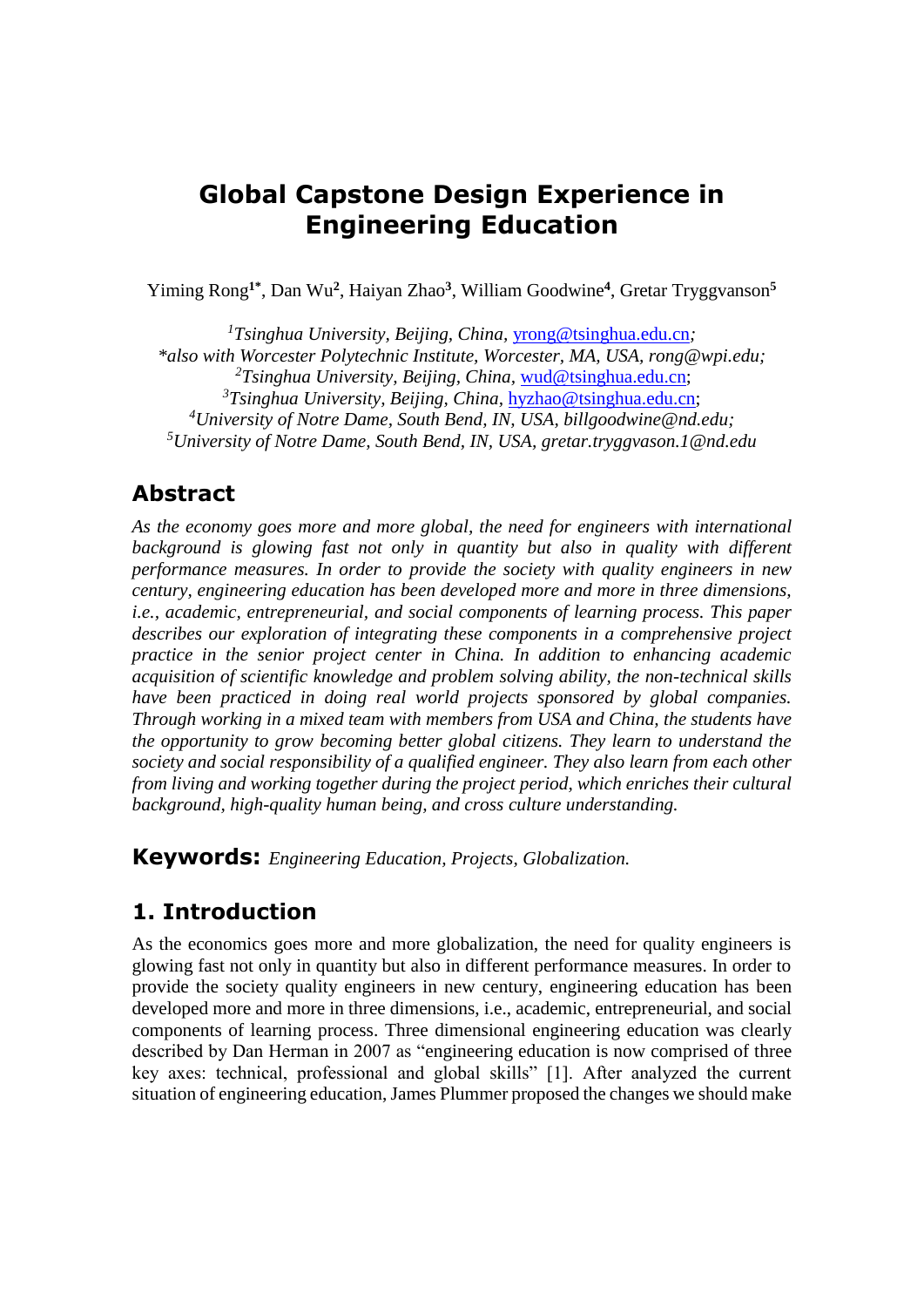## **Global Capstone Design Experience in Engineering Education**

Yiming Rong**1\*** , Dan Wu**<sup>2</sup>** , Haiyan Zhao**<sup>3</sup>** , William Goodwine**<sup>4</sup>** , Gretar Tryggvanson**<sup>5</sup>**

*Tsinghua University, Beijing, China,* [yrong@tsinghua.edu.cn](mailto:yrong@tsinghua.edu.cn)*; \*also with Worcester Polytechnic Institute, Worcester, MA, USA, rong@wpi.edu; Tsinghua University, Beijing, China,* [wud@tsinghua.edu.cn;](mailto:wud@tsinghua.edu.cn) *Tsinghua University, Beijing, China,* [hyzhao@tsinghua.edu.cn;](mailto:hyzhao@tsinghua.edu.cn) *University of Notre Dame, South Bend, IN, USA, billgoodwine@nd.edu; University of Notre Dame, South Bend, IN, USA, gretar.tryggvason.1@nd.edu*

#### **Abstract**

*As the economy goes more and more global, the need for engineers with international background is glowing fast not only in quantity but also in quality with different performance measures. In order to provide the society with quality engineers in new century, engineering education has been developed more and more in three dimensions, i.e., academic, entrepreneurial, and social components of learning process. This paper describes our exploration of integrating these components in a comprehensive project practice in the senior project center in China. In addition to enhancing academic acquisition of scientific knowledge and problem solving ability, the non-technical skills have been practiced in doing real world projects sponsored by global companies. Through working in a mixed team with members from USA and China, the students have the opportunity to grow becoming better global citizens. They learn to understand the society and social responsibility of a qualified engineer. They also learn from each other from living and working together during the project period, which enriches their cultural background, high-quality human being, and cross culture understanding.* 

**Keywords:** *Engineering Education, Projects, Globalization.*

#### **1. Introduction**

As the economics goes more and more globalization, the need for quality engineers is glowing fast not only in quantity but also in different performance measures. In order to provide the society quality engineers in new century, engineering education has been developed more and more in three dimensions, i.e., academic, entrepreneurial, and social components of learning process. Three dimensional engineering education was clearly described by Dan Herman in 2007 as "engineering education is now comprised of three key axes: technical, professional and global skills" [1]. After analyzed the current situation of engineering education, James Plummer proposed the changes we should make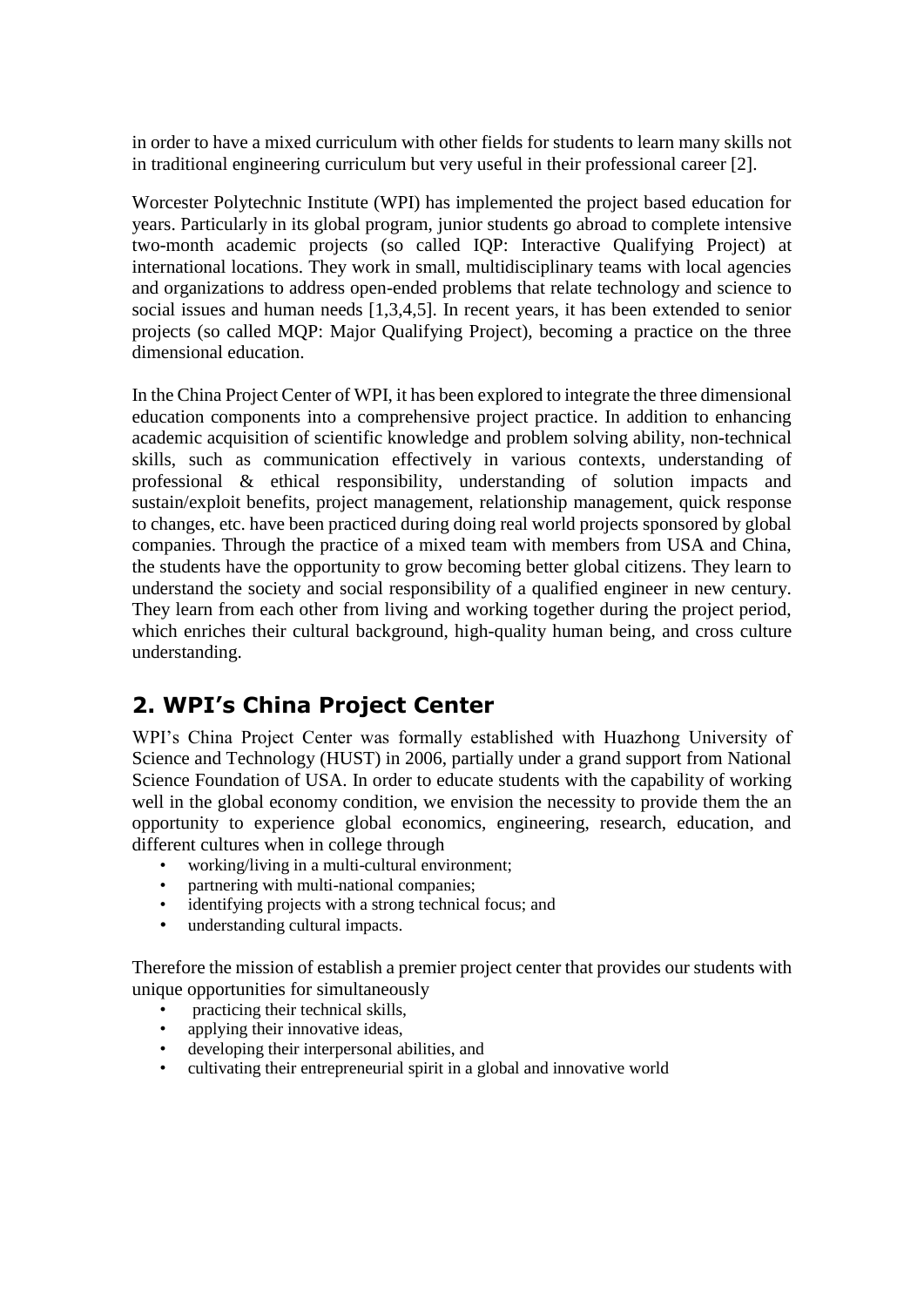in order to have a mixed curriculum with other fields for students to learn many skills not in traditional engineering curriculum but very useful in their professional career [2].

Worcester Polytechnic Institute (WPI) has implemented the project based education for years. Particularly in its global program, junior students go abroad to complete intensive two-month academic projects (so called IQP: Interactive Qualifying Project) at international locations. They work in small, multidisciplinary teams with local agencies and organizations to address open-ended problems that relate technology and science to social issues and human needs [1,3,4,5]. In recent years, it has been extended to senior projects (so called MQP: Major Qualifying Project), becoming a practice on the three dimensional education.

In the China Project Center of WPI, it has been explored to integrate the three dimensional education components into a comprehensive project practice. In addition to enhancing academic acquisition of scientific knowledge and problem solving ability, non-technical skills, such as communication effectively in various contexts, understanding of professional & ethical responsibility, understanding of solution impacts and sustain/exploit benefits, project management, relationship management, quick response to changes, etc. have been practiced during doing real world projects sponsored by global companies. Through the practice of a mixed team with members from USA and China, the students have the opportunity to grow becoming better global citizens. They learn to understand the society and social responsibility of a qualified engineer in new century. They learn from each other from living and working together during the project period, which enriches their cultural background, high-quality human being, and cross culture understanding.

## **2. WPI's China Project Center**

WPI's China Project Center was formally established with Huazhong University of Science and Technology (HUST) in 2006, partially under a grand support from National Science Foundation of USA. In order to educate students with the capability of working well in the global economy condition, we envision the necessity to provide them the an opportunity to experience global economics, engineering, research, education, and different cultures when in college through

- working/living in a multi-cultural environment;
- partnering with multi-national companies;
- identifying projects with a strong technical focus; and
- understanding cultural impacts.

Therefore the mission of establish a premier project center that provides our students with unique opportunities for simultaneously

- practicing their technical skills,
- applying their innovative ideas,
- developing their interpersonal abilities, and
- cultivating their entrepreneurial spirit in a global and innovative world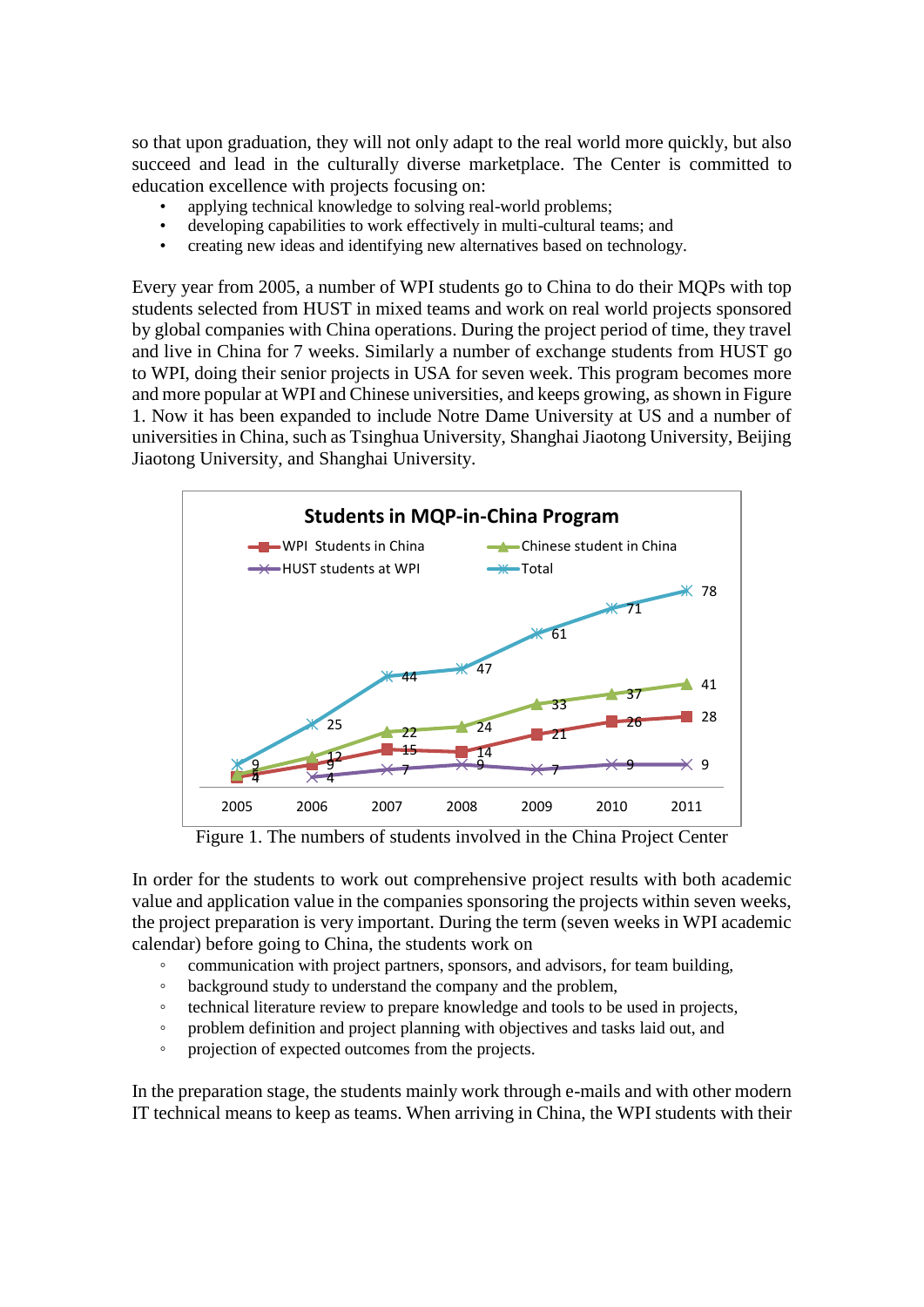so that upon graduation, they will not only adapt to the real world more quickly, but also succeed and lead in the culturally diverse marketplace. The Center is committed to education excellence with projects focusing on:

- applying technical knowledge to solving real-world problems;
- developing capabilities to work effectively in multi-cultural teams; and
- creating new ideas and identifying new alternatives based on technology.

Every year from 2005, a number of WPI students go to China to do their MQPs with top students selected from HUST in mixed teams and work on real world projects sponsored by global companies with China operations. During the project period of time, they travel and live in China for 7 weeks. Similarly a number of exchange students from HUST go to WPI, doing their senior projects in USA for seven week. This program becomes more and more popular at WPI and Chinese universities, and keeps growing, as shown in Figure 1. Now it has been expanded to include Notre Dame University at US and a number of universities in China, such as Tsinghua University, Shanghai Jiaotong University, Beijing Jiaotong University, and Shanghai University.



Figure 1. The numbers of students involved in the China Project Center

In order for the students to work out comprehensive project results with both academic value and application value in the companies sponsoring the projects within seven weeks, the project preparation is very important. During the term (seven weeks in WPI academic calendar) before going to China, the students work on

- communication with project partners, sponsors, and advisors, for team building,
- background study to understand the company and the problem,
- technical literature review to prepare knowledge and tools to be used in projects,
- problem definition and project planning with objectives and tasks laid out, and
- projection of expected outcomes from the projects.

In the preparation stage, the students mainly work through e-mails and with other modern IT technical means to keep as teams. When arriving in China, the WPI students with their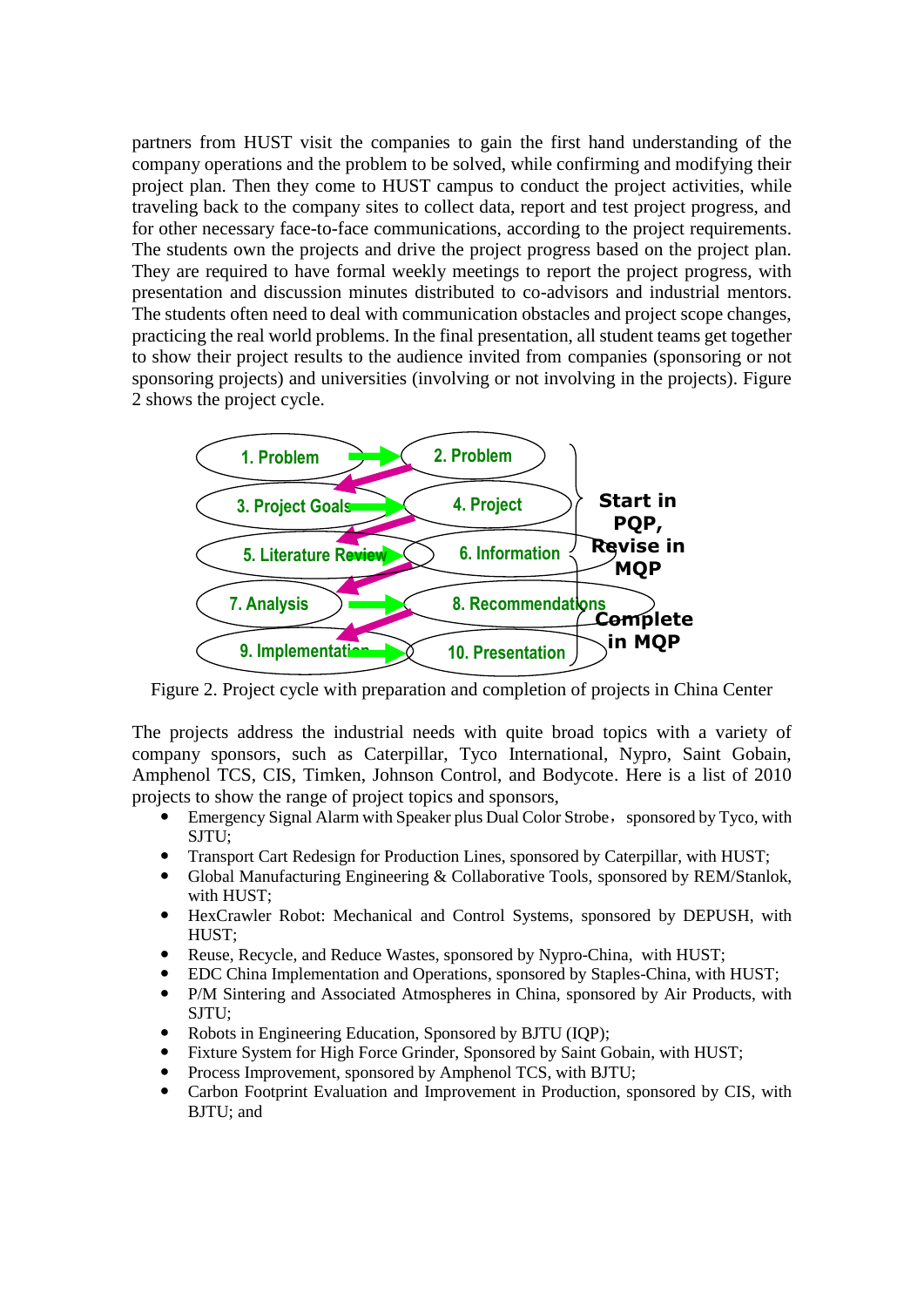partners from HUST visit the companies to gain the first hand understanding of the company operations and the problem to be solved, while confirming and modifying their project plan. Then they come to HUST campus to conduct the project activities, while traveling back to the company sites to collect data, report and test project progress, and for other necessary face-to-face communications, according to the project requirements. The students own the projects and drive the project progress based on the project plan. They are required to have formal weekly meetings to report the project progress, with presentation and discussion minutes distributed to co-advisors and industrial mentors. The students often need to deal with communication obstacles and project scope changes, practicing the real world problems. In the final presentation, all student teams get together to show their project results to the audience invited from companies (sponsoring or not sponsoring projects) and universities (involving or not involving in the projects). Figure 2 shows the project cycle.



Figure 2. Project cycle with preparation and completion of projects in China Center

The projects address the industrial needs with quite broad topics with a variety of company sponsors, such as Caterpillar, Tyco International, Nypro, Saint Gobain, Amphenol TCS, CIS, Timken, Johnson Control, and Bodycote. Here is a list of 2010 projects to show the range of project topics and sponsors,

- Emergency Signal Alarm with Speaker plus Dual Color Strobe, sponsored by Tyco, with SJTU;
- Transport Cart Redesign for Production Lines, sponsored by Caterpillar, with HUST;
- Global Manufacturing Engineering & Collaborative Tools, sponsored by REM/Stanlok, with HUST;
- HexCrawler Robot: Mechanical and Control Systems, sponsored by DEPUSH, with HUST;
- Reuse, Recycle, and Reduce Wastes, sponsored by Nypro-China, with HUST;
- EDC China Implementation and Operations, sponsored by Staples-China, with HUST;
- P/M Sintering and Associated Atmospheres in China, sponsored by Air Products, with SJTU;
- Robots in Engineering Education, Sponsored by BJTU (IQP);
- Fixture System for High Force Grinder, Sponsored by Saint Gobain, with HUST;
- Process Improvement, sponsored by Amphenol TCS, with BJTU;
- Carbon Footprint Evaluation and Improvement in Production, sponsored by CIS, with BJTU; and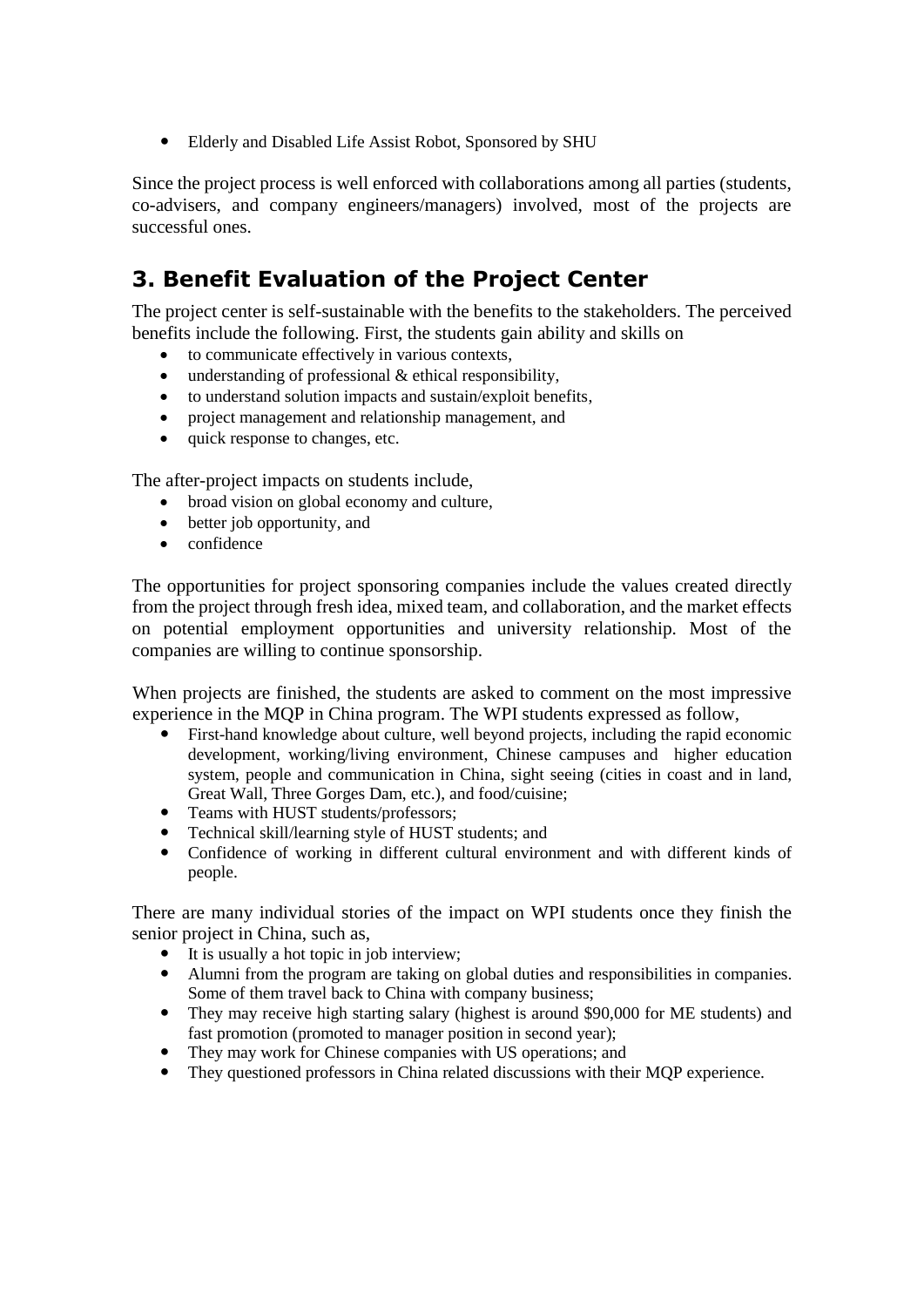Elderly and Disabled Life Assist Robot, Sponsored by SHU

Since the project process is well enforced with collaborations among all parties (students, co-advisers, and company engineers/managers) involved, most of the projects are successful ones.

# **3. Benefit Evaluation of the Project Center**

The project center is self-sustainable with the benefits to the stakeholders. The perceived benefits include the following. First, the students gain ability and skills on

- to communicate effectively in various contexts,
- understanding of professional & ethical responsibility,
- to understand solution impacts and sustain/exploit benefits,
- project management and relationship management, and
- quick response to changes, etc.

The after-project impacts on students include,

- broad vision on global economy and culture,
- better job opportunity, and
- confidence

The opportunities for project sponsoring companies include the values created directly from the project through fresh idea, mixed team, and collaboration, and the market effects on potential employment opportunities and university relationship. Most of the companies are willing to continue sponsorship.

When projects are finished, the students are asked to comment on the most impressive experience in the MQP in China program. The WPI students expressed as follow,

- First-hand knowledge about culture, well beyond projects, including the rapid economic development, working/living environment, Chinese campuses and higher education system, people and communication in China, sight seeing (cities in coast and in land, Great Wall, Three Gorges Dam, etc.), and food/cuisine;
- Teams with HUST students/professors;
- Technical skill/learning style of HUST students; and
- Confidence of working in different cultural environment and with different kinds of people.

There are many individual stories of the impact on WPI students once they finish the senior project in China, such as,

- It is usually a hot topic in job interview;
- Alumni from the program are taking on global duties and responsibilities in companies. Some of them travel back to China with company business;
- They may receive high starting salary (highest is around \$90,000 for ME students) and fast promotion (promoted to manager position in second year);
- They may work for Chinese companies with US operations; and
- They questioned professors in China related discussions with their MQP experience.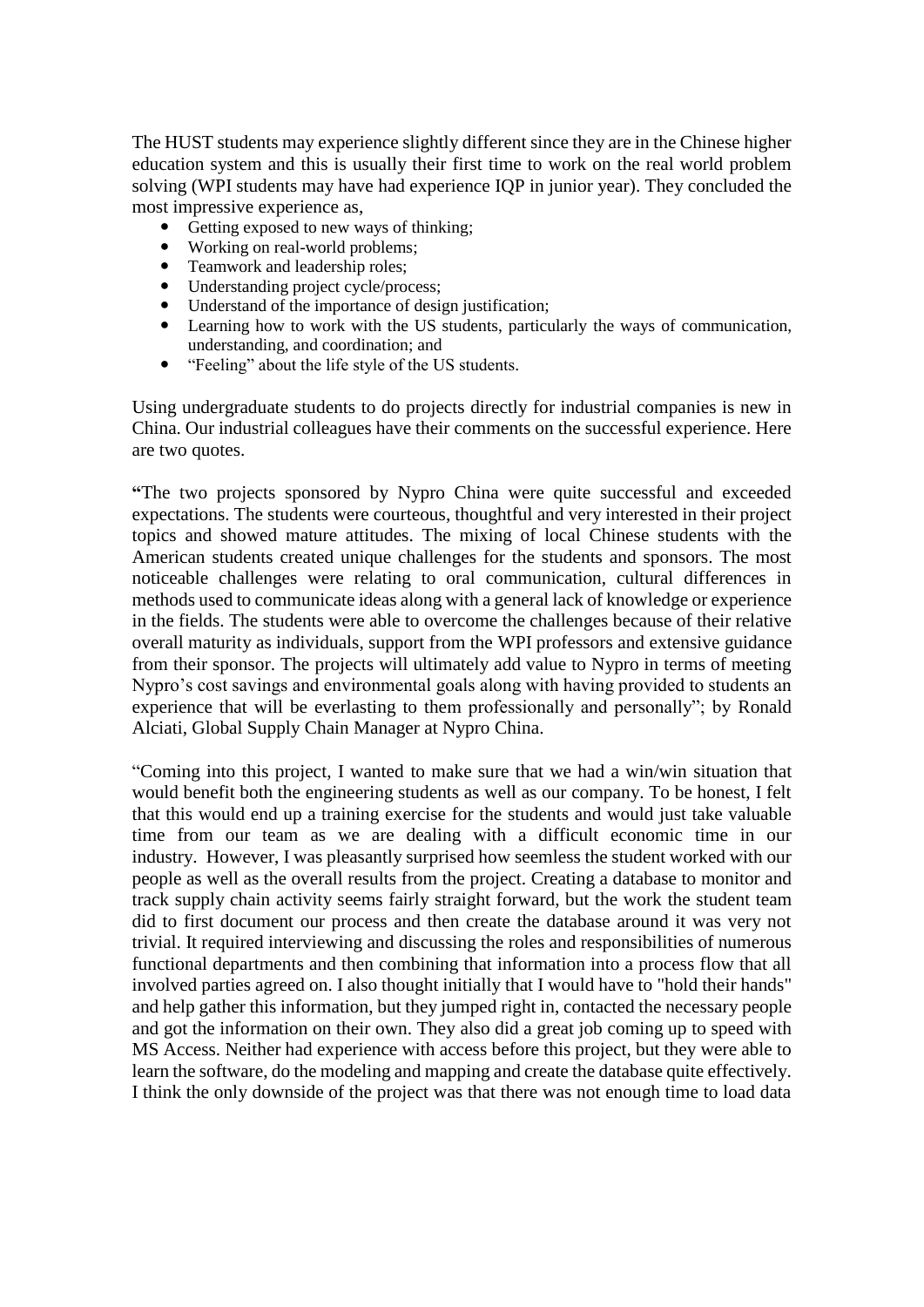The HUST students may experience slightly different since they are in the Chinese higher education system and this is usually their first time to work on the real world problem solving (WPI students may have had experience IQP in junior year). They concluded the most impressive experience as,

- Getting exposed to new ways of thinking:
- Working on real-world problems;
- Teamwork and leadership roles;
- Understanding project cycle/process;
- Understand of the importance of design justification;
- Learning how to work with the US students, particularly the ways of communication, understanding, and coordination; and
- "Feeling" about the life style of the US students.

Using undergraduate students to do projects directly for industrial companies is new in China. Our industrial colleagues have their comments on the successful experience. Here are two quotes.

**"**The two projects sponsored by Nypro China were quite successful and exceeded expectations. The students were courteous, thoughtful and very interested in their project topics and showed mature attitudes. The mixing of local Chinese students with the American students created unique challenges for the students and sponsors. The most noticeable challenges were relating to oral communication, cultural differences in methods used to communicate ideas along with a general lack of knowledge or experience in the fields. The students were able to overcome the challenges because of their relative overall maturity as individuals, support from the WPI professors and extensive guidance from their sponsor. The projects will ultimately add value to Nypro in terms of meeting Nypro's cost savings and environmental goals along with having provided to students an experience that will be everlasting to them professionally and personally"; by Ronald Alciati, Global Supply Chain Manager at Nypro China.

"Coming into this project, I wanted to make sure that we had a win/win situation that would benefit both the engineering students as well as our company. To be honest, I felt that this would end up a training exercise for the students and would just take valuable time from our team as we are dealing with a difficult economic time in our industry. However, I was pleasantly surprised how seemless the student worked with our people as well as the overall results from the project. Creating a database to monitor and track supply chain activity seems fairly straight forward, but the work the student team did to first document our process and then create the database around it was very not trivial. It required interviewing and discussing the roles and responsibilities of numerous functional departments and then combining that information into a process flow that all involved parties agreed on. I also thought initially that I would have to "hold their hands" and help gather this information, but they jumped right in, contacted the necessary people and got the information on their own. They also did a great job coming up to speed with MS Access. Neither had experience with access before this project, but they were able to learn the software, do the modeling and mapping and create the database quite effectively. I think the only downside of the project was that there was not enough time to load data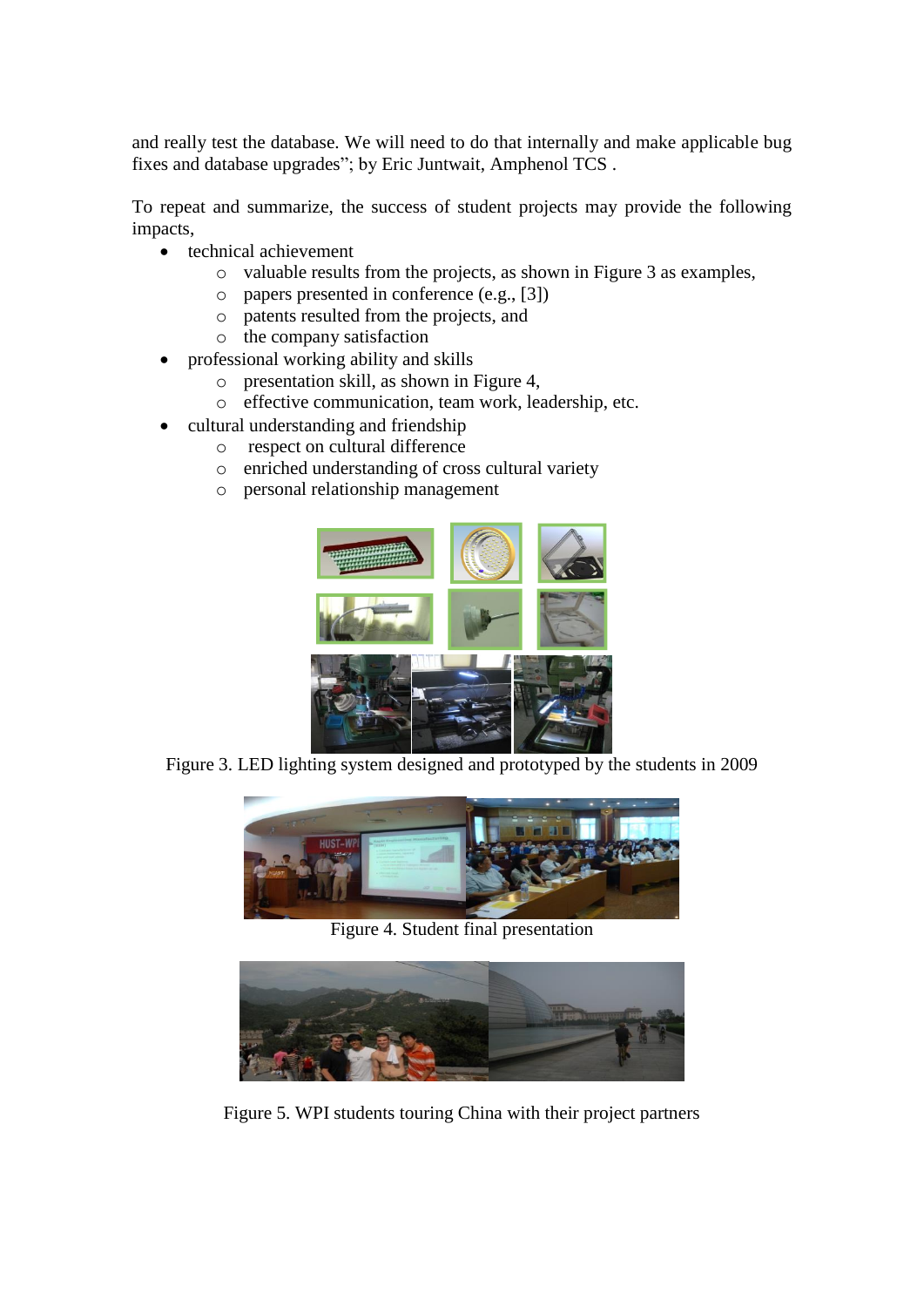and really test the database. We will need to do that internally and make applicable bug fixes and database upgrades"; by Eric Juntwait, Amphenol TCS .

To repeat and summarize, the success of student projects may provide the following impacts,

- technical achievement
	- o valuable results from the projects, as shown in Figure 3 as examples,
	- o papers presented in conference (e.g., [3])
	- o patents resulted from the projects, and
	- o the company satisfaction
- professional working ability and skills
	- o presentation skill, as shown in Figure 4,
	- o effective communication, team work, leadership, etc.
- cultural understanding and friendship
	- o respect on cultural difference
	- o enriched understanding of cross cultural variety
	- o personal relationship management



Figure 3. LED lighting system designed and prototyped by the students in 2009



Figure 4. Student final presentation



Figure 5. WPI students touring China with their project partners